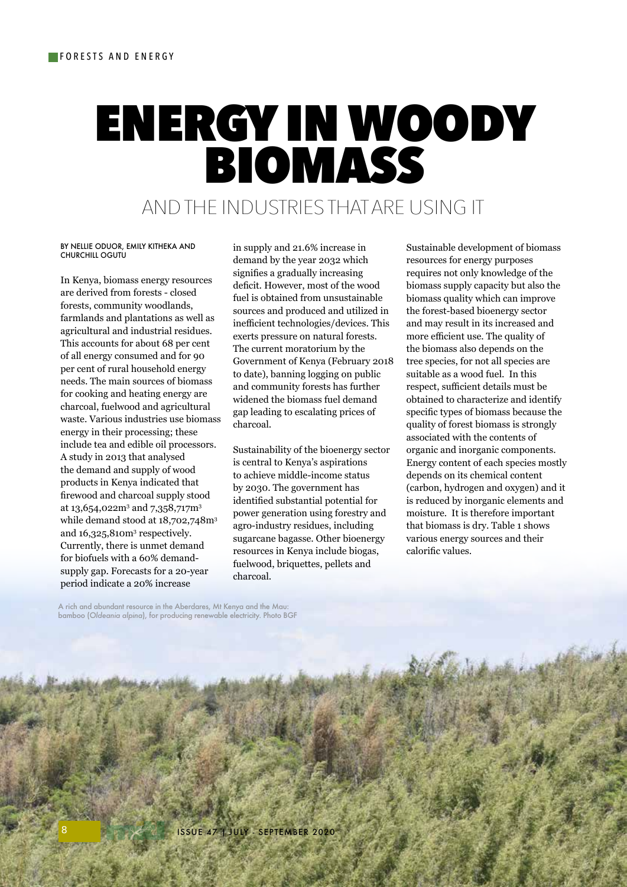# ENERGY IN WOODY BIOMASS

# AND THE INDUSTRIES THAT ARE USING IT

#### BY NELLIE ODUOR, EMILY KITHEKA AND CHURCHILL OGUTU

In Kenya, biomass energy resources are derived from forests - closed forests, community woodlands, farmlands and plantations as well as agricultural and industrial residues. This accounts for about 68 per cent of all energy consumed and for 90 per cent of rural household energy needs. The main sources of biomass for cooking and heating energy are charcoal, fuelwood and agricultural waste. Various industries use biomass energy in their processing; these include tea and edible oil processors. A study in 2013 that analysed the demand and supply of wood products in Kenya indicated that firewood and charcoal supply stood at 13,654,022m $^{\rm 3}$  and 7,358,717m $^{\rm 3}$ while demand stood at 18,702,748m<sup>3</sup> and 16,325,810m<sup>3</sup> respectively. Currently, there is unmet demand for biofuels with a 60% demandsupply gap. Forecasts for a 20-year period indicate a 20% increase

in supply and 21.6% increase in demand by the year 2032 which signifies a gradually increasing deficit. However, most of the wood fuel is obtained from unsustainable sources and produced and utilized in inefficient technologies/devices. This exerts pressure on natural forests. The current moratorium by the Government of Kenya (February 2018 to date), banning logging on public and community forests has further widened the biomass fuel demand gap leading to escalating prices of charcoal.

Sustainability of the bioenergy sector is central to Kenya's aspirations to achieve middle-income status by 2030. The government has identified substantial potential for power generation using forestry and agro-industry residues, including sugarcane bagasse. Other bioenergy resources in Kenya include biogas, fuelwood, briquettes, pellets and charcoal.

Sustainable development of biomass resources for energy purposes requires not only knowledge of the biomass supply capacity but also the biomass quality which can improve the forest-based bioenergy sector and may result in its increased and more efficient use. The quality of the biomass also depends on the tree species, for not all species are suitable as a wood fuel. In this respect, sufficient details must be obtained to characterize and identify specific types of biomass because the quality of forest biomass is strongly associated with the contents of organic and inorganic components. Energy content of each species mostly depends on its chemical content (carbon, hydrogen and oxygen) and it is reduced by inorganic elements and moisture. It is therefore important that biomass is dry. Table 1 shows various energy sources and their calorific values.

A rich and abundant resource in the Aberdares, Mt Kenya and the Mau: bamboo (*Oldeania alpina*), for producing renewable electricity. Photo BGF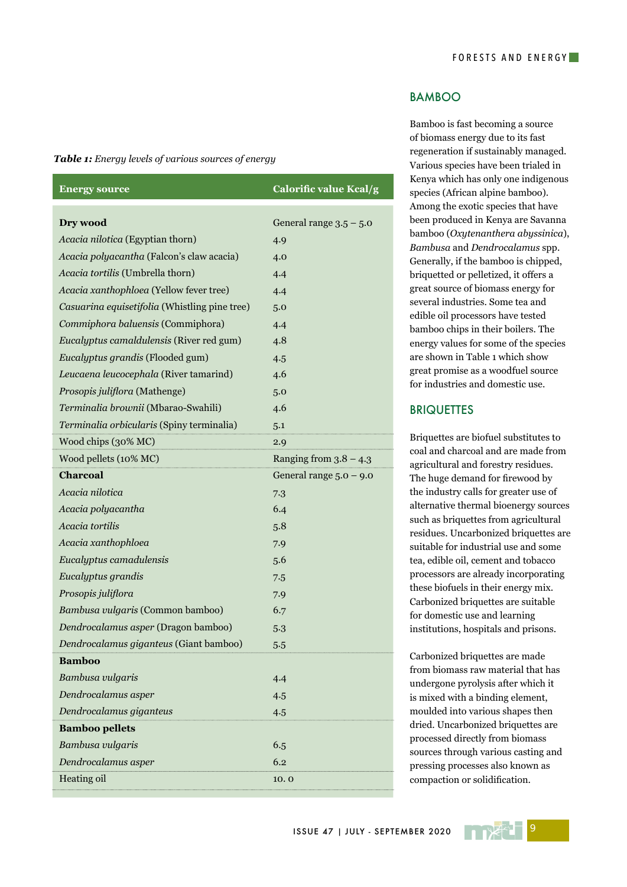#### *Table 1: Energy levels of various sources of energy*

| <b>Energy source</b>                          | Calorific value Kcal/g    |
|-----------------------------------------------|---------------------------|
| Dry wood                                      | General range $3.5 - 5.0$ |
| Acacia nilotica (Egyptian thorn)              | 4.9                       |
| Acacia polyacantha (Falcon's claw acacia)     | 4.0                       |
| Acacia tortilis (Umbrella thorn)              | 4.4                       |
| Acacia xanthophloea (Yellow fever tree)       | 4.4                       |
| Casuarina equisetifolia (Whistling pine tree) | 5.0                       |
| Commiphora baluensis (Commiphora)             | 4.4                       |
| Eucalyptus camaldulensis (River red gum)      | 4.8                       |
| Eucalyptus grandis (Flooded gum)              | 4.5                       |
| Leucaena leucocephala (River tamarind)        | 4.6                       |
| Prosopis juliflora (Mathenge)                 | 5.0                       |
| Terminalia brownii (Mbarao-Swahili)           | 4.6                       |
| Terminalia orbicularis (Spiny terminalia)     | 5.1                       |
| Wood chips (30% MC)                           | 2.9                       |
| Wood pellets (10% MC)                         | Ranging from $3.8 - 4.3$  |
| <b>Charcoal</b>                               | General range $5.0 - 9.0$ |
| Acacia nilotica                               | 7.3                       |
| Acacia polyacantha                            | 6.4                       |
| Acacia tortilis                               | 5.8                       |
| Acacia xanthophloea                           | 7.9                       |
| Eucalyptus camadulensis                       | 5.6                       |
| Eucalyptus grandis                            | 7.5                       |
| Prosopis juliflora                            | 7.9                       |
| Bambusa vulgaris (Common bamboo)              | 6.7                       |
| Dendrocalamus asper (Dragon bamboo)           | 5.3                       |
| Dendrocalamus giganteus (Giant bamboo)        | 5.5                       |
| <b>Bamboo</b>                                 |                           |
| Bambusa vulgaris                              | 4.4                       |
| Dendrocalamus asper                           | 4.5                       |
| Dendrocalamus giganteus                       | 4.5                       |
| <b>Bamboo pellets</b>                         |                           |
| Bambusa vulgaris                              | 6.5                       |
| Dendrocalamus asper                           | 6.2                       |
| Heating oil                                   | 10.0                      |

#### BAMBOO

Bamboo is fast becoming a source of biomass energy due to its fast regeneration if sustainably managed. Various species have been trialed in Kenya which has only one indigenous species (African alpine bamboo). Among the exotic species that have been produced in Kenya are Savanna bamboo (*Oxytenanthera abyssinica*), *Bambusa* and *Dendrocalamus* spp. Generally, if the bamboo is chipped, briquetted or pelletized, it offers a great source of biomass energy for several industries. Some tea and edible oil processors have tested bamboo chips in their boilers. The energy values for some of the species are shown in Table 1 which show great promise as a woodfuel source for industries and domestic use.

### **BRIQUETTES**

Briquettes are biofuel substitutes to coal and charcoal and are made from agricultural and forestry residues. The huge demand for firewood by the industry calls for greater use of alternative thermal bioenergy sources such as briquettes from agricultural residues. Uncarbonized briquettes are suitable for industrial use and some tea, edible oil, cement and tobacco processors are already incorporating these biofuels in their energy mix. Carbonized briquettes are suitable for domestic use and learning institutions, hospitals and prisons.

Carbonized briquettes are made from biomass raw material that has undergone pyrolysis after which it is mixed with a binding element, moulded into various shapes then dried. Uncarbonized briquettes are processed directly from biomass sources through various casting and pressing processes also known as compaction or solidification.

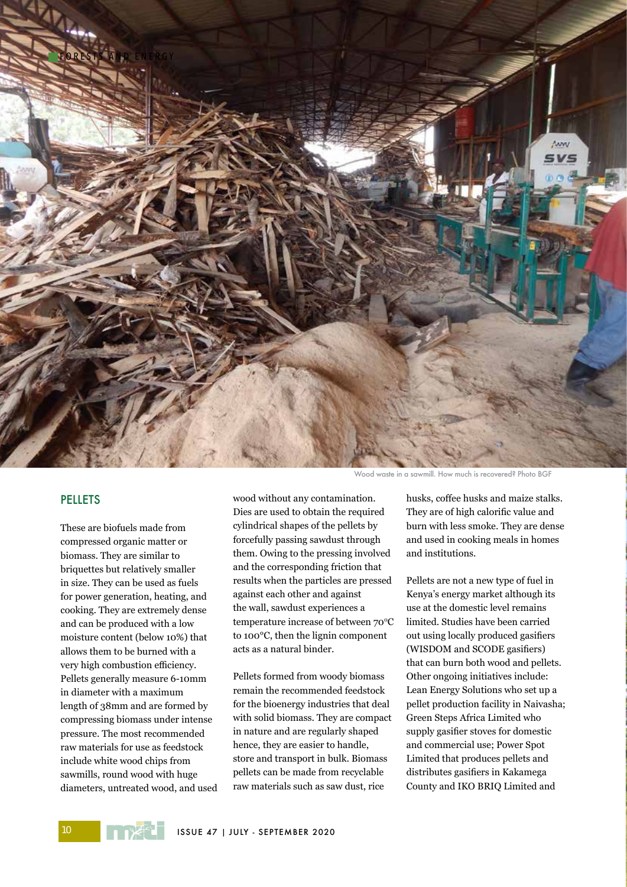

### PELLETS

These are biofuels made from compressed organic matter or biomass. They are similar to briquettes but relatively smaller in size. They can be used as fuels for power generation, heating, and cooking. They are extremely dense and can be produced with a low moisture content (below 10%) that allows them to be burned with a very high combustion efficiency. Pellets generally measure 6-10mm in diameter with a maximum length of 38mm and are formed by compressing biomass under intense pressure. The most recommended raw materials for use as feedstock include white wood chips from sawmills, round wood with huge diameters, untreated wood, and used wood without any contamination. Dies are used to obtain the required cylindrical shapes of the pellets by forcefully passing sawdust through them. Owing to the pressing involved and the corresponding friction that results when the particles are pressed against each other and against the wall, sawdust experiences a temperature increase of between 70°C to 100°C, then the lignin component acts as a natural binder.

Pellets formed from woody biomass remain the recommended feedstock for the bioenergy industries that deal with solid biomass. They are compact in nature and are regularly shaped hence, they are easier to handle, store and transport in bulk. Biomass pellets can be made from recyclable raw materials such as saw dust, rice

Wood waste in a sawmill. How much is recovered? Photo BGF

husks, coffee husks and maize stalks. They are of high calorific value and burn with less smoke. They are dense and used in cooking meals in homes and institutions.

Pellets are not a new type of fuel in Kenya's energy market although its use at the domestic level remains limited. Studies have been carried out using locally produced gasifiers (WISDOM and SCODE gasifiers) that can burn both wood and pellets. Other ongoing initiatives include: Lean Energy Solutions who set up a pellet production facility in Naivasha; Green Steps Africa Limited who supply gasifier stoves for domestic and commercial use; Power Spot Limited that produces pellets and distributes gasifiers in Kakamega County and IKO BRIQ Limited and